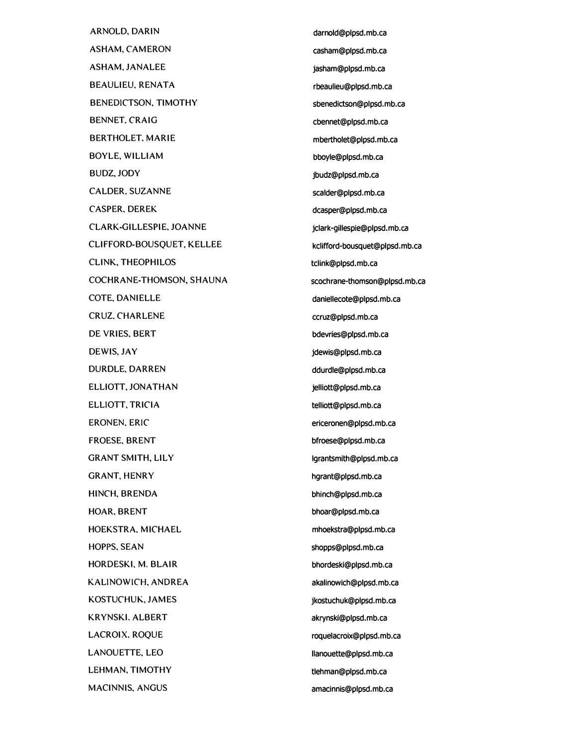ARNOLD. DARIN ASHAM, CAMERON ASHAM, JANALEE BEAULIEU, RENATA BENEDICTSON. TIMOTHY BENNET. CRAIG BERTHOLET. MARIE BOYLE, WILLIAM BUDZ,JODY CALDER, SUZANNE CASPER. DEREK CLARK-GILLESPIE. JOANNE CLIFFORD-BOUSQUET, KELLEE CLINK, THEOPHILOS COCHRANE-THOMSON, SHAUNA COTE, DANIELLE CRUZ. CHARLENE DE VRIES. BERT DEWIS, JAY DURDLE, DARREN ELLIOTT. JONATHAN ELLIOTT, TRICIA ERONEN. ERIC FROESE. BRENT GRANT SMITH, LILY GRANT, HENRY HINCH, BRENDA HOAR. BRENT HOEKSTRA.MICHAEL HOPPS. SEAN HORDESKI. M. BLAIR KALINOWICH, ANDREA KOSTUCHUK, JAMES KRYNSKI. ALBERT LACROIX. ROQUE LANOUETTE, LEO LEHMAN. TIMOTHY MACINNIS, ANGUS

darnold@plpsd.mb.ca casham@plpsd.mb.ca jasham@plpsd.mb.ca rbeaulieu@plpsd.mb.ca sbenedictson@plpsd.mb.ca cbennet@plpsd.mb.ca mbertholet@plpsd.mb.ca bboyle@plpsd.mb.ca jbudz@plpsd.mb.ca scalder@plpsd.mb.ca dcasper@plpsd.mb.ca jclark-gillespie@plpsd.mb.ca kclifford-bousquet@plpsd.mb.ca tclink@plpsd.mb.ca scochrane-thomson@plpsd.mb.ca daniellecote@plpsd.mb.ca ccruz@plpsd.mb.ca bdevries@plpsd.mb.ca jdewis@plpsd.mb.ca ddurdle@plpsd.mb.ca jelliott@plpsd.mb.ca telliott@plpsd.mb.ca ericeronen@plpsd.mb.ca bfroese@plpsd.mb.ca lgrantsmith@plpsd.mb.ca hgrant@plpsd.mb.ca bhinch@plpsd.mb.ca bhoar@plpsd.mb.ca mhoekstra@plpsd.mb.ca shopps@plpsd.mb.ca bhordeski@plpsd.mb.ca akalinowich@plpsd.mb.ca jkostuchuk@plpsd.mb.ca akrynski@plpsd.mb.ca roquelacroix@plpsd.mb.ca llanouette@plpsd.mb.ca tlehman@plpsd.mb.ca amacinnis@plpsd.mb.ca